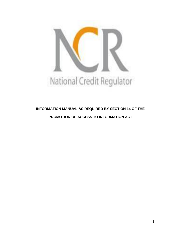

# **INFORMATION MANUAL AS REQUIRED BY SECTION 14 OF THE PROMOTION OF ACCESS TO INFORMATION ACT**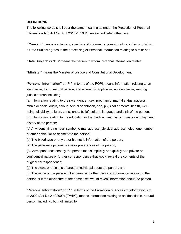# **DEFINITIONS**

The following words shall bear the same meaning as under the Protection of Personal Information Act, Act No. 4 of 2013 ("POPI"), unless indicated otherwise:

"**Consent**" means a voluntary, specific and informed expression of will in terms of which a Data Subject agrees to the processing of Personal Information relating to him or her.

"**Data Subject**" or "DS" means the person to whom Personal Information relates.

**"Minister**" means the Minister of Justice and Constitutional Development.

"**Personal Information"** or "PI", in terms of the POPI, means information relating to an identifiable, living, natural person, and where it is applicable, an identifiable, existing juristic person including:

(a) Information relating to the race, gender, sex, pregnancy, marital status, national, ethnic or social origin, colour, sexual orientation, age, physical or mental health, wellbeing, disability, religion, conscience, belief, culture, language and birth of the person; (b) Information relating to the education or the medical, financial, criminal or employment history of the person;

(c) Any identifying number, symbol, e-mail address, physical address, telephone number or other particular assignment to the person;

(d) The blood type or any other biometric information of the person;

(e) The personal opinions, views or preferences of the person;

(f) Correspondence sent by the person that is implicitly or explicitly of a private or confidential nature or further correspondence that would reveal the contents of the original correspondence;

(g) The views or opinions of another individual about the person; and

(h) The name of the person if it appears with other personal information relating to the person or if the disclosure of the name itself would reveal information about the person.

"**Personal Information"** or "PI", in terms of the Promotion of Access to Information Act of 2000 (Act No.2 of 2000) ("PAIA"), means information relating to an identifiable, natural person, including, but not limited to: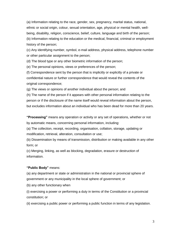(a) Information relating to the race, gender, sex, pregnancy, marital status, national, ethnic or social origin, colour, sexual orientation, age, physical or mental health, wellbeing, disability, religion, conscience, belief, culture, language and birth of the person; (b) Information relating to the education or the medical, financial, criminal or employment history of the person;

(c) Any identifying number, symbol, e-mail address, physical address, telephone number or other particular assignment to the person;

(d) The blood type or any other biometric information of the person;

(e) The personal opinions, views or preferences of the person;

(f) Correspondence sent by the person that is implicitly or explicitly of a private or confidential nature or further correspondence that would reveal the contents of the original correspondence;

(g) The views or opinions of another individual about the person; and

(h) The name of the person if it appears with other personal information relating to the person or if the disclosure of the name itself would reveal information about the person, but excludes information about an individual who has been dead for more than 20 years.

**"Processing"** means any operation or activity or any set of operations, whether or not by automatic means, concerning personal information, including:

(a) The collection, receipt, recording, organisation, collation, storage, updating or modification, retrieval, alteration, consultation or use;

(b) Dissemination by means of transmission, distribution or making available in any other form; or

(c) Merging, linking, as well as blocking, degradation, erasure or destruction of information.

#### **"Public Body"** means:

(a) any department or state or administration in the national or provincial sphere of government or any municipality in the local sphere of government; or

(b) any other functionary when

(i) exercising a power or performing a duty in terms of the Constitution or a provincial constitution; or

(ii) exercising a public power or performing a public function in terms of any legislation.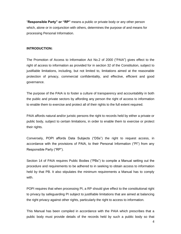"**Responsible Party" or "RP"** means a public or private body or any other person which, alone or in conjunction with others, determines the purpose of and means for processing Personal Information.

#### **INTRODUCTION:**

The Promotion of Access to Information Act No.2 of 2000 ("PAIA") gives effect to the right of access to information as provided for in section 32 of the Constitution, subject to justifiable limitations, including, but not limited to, limitations aimed at the reasonable protection of privacy, commercial confidentiality, and effective, efficient and good governance.

The purpose of the PAIA is to foster a culture of transparency and accountability in both the public and private sectors by affording any person the right of access to information to enable them to exercise and protect all of their rights to the full extent required.

PAIA affords natural and/or juristic persons the right to records held by either a private or public body, subject to certain limitations, in order to enable them to exercise or protect their rights.

Conversely, POPI affords Data Subjects ("DSs") the right to request access, in accordance with the provisions of PAIA, to their Personal Information ("PI") from any Responsible Party ("RP").

Section 14 of PAIA requires Public Bodies ("PBs") to compile a Manual setting out the procedure and requirements to be adhered to in seeking to obtain access to information held by that PB. It also stipulates the minimum requirements a Manual has to comply with.

POPI requires that when processing PI, a RP should give effect to the constitutional right to privacy by safeguarding PI subject to justifiable limitations that are aimed at balancing the right privacy against other rights, particularly the right to access to information.

This Manual has been compiled in accordance with the PAIA which prescribes that a public body must provide details of the records held by such a public body so that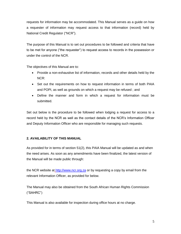requests for information may be accommodated. This Manual serves as a guide on how a requester of information may request access to that information (record) held by National Credit Regulator ("NCR").

The purpose of this Manual is to set out procedures to be followed and criteria that have to be met for anyone ("the requester") to request access to records in the possession or under the control of the NCR.

The objectives of this Manual are to:

- Provide a non-exhaustive list of information, records and other details held by the NCR:
- Set out the requirements on how to request information in terms of both PAIA and POPI, as well as grounds on which a request may be refused ; and
- Define the manner and form in which a request for information must be submitted.

Set out below is the procedure to be followed when lodging a request for access to a record held by the NCR as well as the contact details of the NCR's Information Officer and Deputy Information Officer who are responsible for managing such requests.

# **2. AVAILABILITY OF THIS MANUAL**

As provided for in terms of section 51(2), this PAIA Manual will be updated as and when the need arises. As soon as any amendments have been finalized, the latest version of the Manual will be made public through:

the NCR website at [http://www.ncr.org.za](http://www.ncr.org.za/) or by requesting a copy by email from the relevant Information Officer, as provided for below.

The Manual may also be obtained from the South African Human Rights Commission ("SAHRC")

This Manual is also available for inspection during office hours at no charge.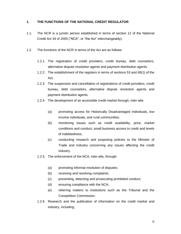# **1. THE FUNCTIONS OF THE NATIONAL CREDIT REGULATOR**

- 1.1. The NCR is a juristic person established in terms of section 12 of the National Credit Act 34 of 2005 ("NCA", or "the Act" interchangeably).
- 1.2. The functions of the NCR in terms of the Act are as follows:
	- 1.2.1. The registration of credit providers, credit bureau, debt counselors, alternative dispute resolution agents and payment distribution agents.
	- 1.2.2. The establishment of the registers in terms of sections 53 and 69(1) of the Act;
	- 1.2.3 The suspension and cancellation of registrations of credit providers, credit bureau, debt counselors, alternative dispute resolution agents and payment distribution agents.
	- 1.2.4 The development of an accessible credit market through, *inter-alia*:
		- (a) promoting access for Historically Disadvantaged Individuals, low income individuals, and rural communities;
		- (b) monitoring issues such as credit availability, price, market conditions and conduct, small business access to credit and levels of indebtedness;
		- (c) conducting research and proposing policies to the Minister of Trade and Industry concerning any issues affecting the credit industry.
	- 1.2.5. The enforcement of the NCA, *inter-alia*, through:
		- (a) promoting informal resolution of disputes;
		- (b) receiving and resolving complaints;
		- (c) preventing, detecting and prosecuting prohibited conduct;
		- (d) ensuring compliance with the NCA;
		- (e) referring matters to institutions such as the Tribunal and the Competition Commission.
	- 1.2.6 Research and the publication of information on the credit market and industry, including;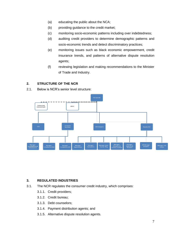- (a) educating the public about the NCA;
- (b) providing guidance to the credit market;
- (c) monitoring socio-economic patterns including over indebtedness;
- (d) auditing credit providers to determine demographic patterns and socio-economic trends and detect discriminatory practices;
- (e) monitoring issues such as black economic empowerment, credit insurance trends, and patterns of alternative dispute resolution agents;
- (f) reviewing legislation and making recommendations to the Minister of Trade and Industry.

# **2. STRUCTURE OF THE NCR**

2.1. Below is NCR's senior level structure:



#### **3. REGULATED INDUSTRIES**

- 3.1. The NCR regulates the consumer credit industry, which comprises:
	- 3.1.1. Credit providers;
	- 3.1.2. Credit bureau;
	- 3.1.3. Debt counselors;
	- 3.1.4. Payment distribution agents; and
	- 3.1.5. Alternative dispute resolution agents.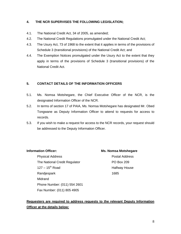# **4. THE NCR SUPERVISES THE FOLLOWING LEGISLATION;**

- 4.1. The National Credit Act, 34 of 2005, as amended;
- 4.2. The National Credit Regulations promulgated under the National Credit Act;
- 4.3. The Usury Act, 73 of 1968 to the extent that it applies in terms of the provisions of Schedule 3 (transitional provisions) of the National Credit Act; and
- 4.4. The Exemption Notices promulgated under the Usury Act to the extent that they apply in terms of the provisions of Schedule 3 (transitional provisions) of the National Credit Act.

#### **5. CONTACT DETAILS OF THE INFORMATION OFFICERS**

- 5.1. Ms. Nomsa Motshegare, the Chief Executive Officer of the NCR, is the designated Information Officer of the NCR.
- 5.2. In terms of section 17 of PAIA, Ms. Nomsa Motshegare has designated Mr. Obed Tongwane as Deputy Information Officer to attend to requests for access to records.
- 5.3. If you wish to make a request for access to the NCR records, your request should be addressed to the Deputy Information Officer.

**Information Officer: Ms. Nomsa Motshegare**

Physical Address **Postal Address** The National Credit Regulator **PO Box 209**  $127 - 15<sup>th</sup>$  Road Halfway House Randjespark 1685 Midrand Phone Number: (011) 554 2601 Fax Number: (011) 805 4905

# **Requesters are required to address requests to the relevant Deputy Information Officer at the details below:**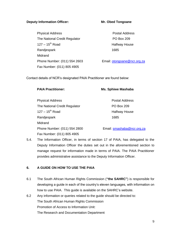## **Deputy Information Officer:** Mr. Obed Tongoane

Physical Address **Physical Address** Postal Address The National Credit Regulator **PO Box 209**  $127 - 15<sup>th</sup>$  Road Halfway House Randjespark 1685 Midrand Phone Number: (011) 554 2603 Email: [otongoane@ncr.org.za](mailto:otongoane@ncr.org.za) Fax Number: (011) 805 4905

Contact details of NCR's designated PAIA Practitioner are found below:

| <b>PAIA Practitioner:</b>     | <b>Ms. Sphiwe Mashaba</b>  |
|-------------------------------|----------------------------|
| <b>Physical Address</b>       | Postal Address             |
| The National Credit Regulator | <b>PO Box 209</b>          |
| $127 - 15^{th}$ Road          | Halfway House              |
| Randjespark                   | 1685                       |
| Midrand                       |                            |
| Phone Number: (011) 554 2800  | Email: smashaba@ncr.org.za |
| Fax Number: (011) 805 4905    |                            |

5.4. The Information Officer, in terms of section 17 of PAIA, has delegated to the Deputy Information Officer the duties set out in the aforementioned section to manage request for information made in terms of PAIA. The PAIA Practitioner provides administrative assistance to the Deputy Information Officer.

# **6. A GUIDE ON HOW TO USE THE PAIA**

- 6.1 The South African Human Rights Commission (**"the SAHRC"**) is responsible for developing a guide in each of the country's eleven languages, with information on how to use PAIA. This guide is available on the SAHRC's website.
- 6.2 Any information or queries related to the guide should be directed to: The South African Human Rights Commission Promotion of Access to Information Unit: The Research and Documentation Department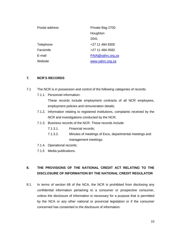| Postal address | Private Bag 2700  |
|----------------|-------------------|
|                | Houghton          |
|                | 2041              |
| Telephone      | +27 11 484 8300   |
| Facsimile      | +27 11 484 0582   |
| E-mail         | PAIA@sahrc.org.za |
| Website        | www.sahrc.org.za  |

### **7. NCR'S RECORDS**

- 7.1 The NCR is in possession and control of the following categories of records:
	- 7.1.1. Personnel information:

These records include employment contracts of all NCR employees, employment policies and remuneration details;

- 7.1.2. Information relating to registered institutions, complaints received by the NCR and investigations conducted by the NCR;
- 7.1.3. Business records of the NCR. These records include:
	- 7.1.3.1. Financial records;
	- 7.1.3.2. Minutes of meetings of Exco, departmental meetings and management meetings.
- 7.1.4. Operational records;
- 7.1.5 Media publications.

# **8. THE PROVISIONS OF THE NATIONAL CREDIT ACT RELATING TO THE DISCLOSURE OF INFORMATION BY THE NATIONAL CREDIT REGULATOR**

8.1. In terms of section 68 of the NCA, the NCR is prohibited from disclosing any confidential information pertaining to a consumer or prospective consumer, unless the disclosure of information is necessary for a purpose that is permitted by the NCA or any other national or provincial legislation or if the consumer concerned has consented to the disclosure of information.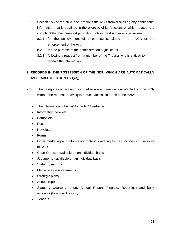- 8.2. Section 156 of the NCA also prohibits the NCR from disclosing any confidential information that is obtained in the exercise of its functions or which relates to a complaint that has been lodged with it, unless the disclosure is necessary:
	- 8.2.1. for the achievement of a purpose stipulated in the NCA or the enforcement of the Act;
	- 8.2.2. for the purpose of the administration of justice; or
	- 8.2.3. following a request from a member of the Tribunal who is entitled to receive the information.

# **9. RECORDS IN THE POSSESSION OF THE NCR, WHICH ARE AUTOMATICALLY AVAILABLE (SECTION 15(1)(a))**

- 9.1. The categories of records listed below are automatically available from the NCR without the requester having to request access in terms of the PAIA:
	- The information uploaded to the NCR web-site
	- Information booklets
	- Pamphlets
	- Posters
	- Newsletters
	- Forms
	- Other marketing and informative materials relating to the functions and services of NCR
	- Court Orders available on an individual basis
	- Judgments available on an individual basis
	- Statutory records
	- Media releases/statements
	- Strategic plans
	- Annual reports
	- Statutory Quarterly report, Annual Report (Finance: Reporting) and bank accounts (Finance: Treasury)
	- Tenders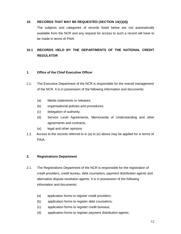# **10. RECORDS THAT MAY BE REQUESTED (SECTION 14(1)(d))**

The subjects and categories of records listed below are not automatically available from the NCR and any request for access to such a record will have to be made in terms of PAIA.

# **10.1 RECORDS HELD BY THE DEPARTMENTS OF THE NATIONAL CREDIT REGULATOR**

# **1. Office of the Chief Executive Officer**

- 1.1. The Executive Department of the NCR is responsible for the overall management of the NCR. It is in possession of the following information and documents:
	- (a) Media statements or releases;
	- (b) organisational policies and procedures;
	- (c) delegation of authority;
	- (d) Service Level Agreements, Memoranda of Understanding and other agreements and contracts;
	- (e) legal and other opinions
- 1.2. Access to the records referred to in (a) to (e) above may be applied for in terms of PAIA.

#### **2. Registrations Department**

- 2.1. The Registrations Department of the NCR is responsible for the registration of credit providers, credit bureau, debt counselors, payment distribution agents and alternative dispute resolution agents. It is in possession of the following information and documents:
	- (a) application forms to register credit providers;
	- (b) application forms to register debt counselors;
	- (c) application forms to register credit bureaus;
	- (d) application forms to register payment distribution agents;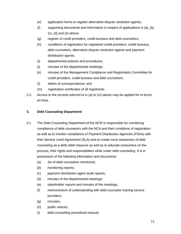- (e) application forms to register alternative dispute resolution agents;
- (f) supporting documents and information in respect of applications in (a), (b)  $(c)$ ,  $(d)$  and  $(e)$  above;
- (g) register of credit providers, credit bureaus and debt counselors;
- (h) conditions of registration for registered credit providers, credit bureaus, debt counselors, alternative dispute resolution agents and payment distribution agents.
- (i) departmental policies and procedures;
- (j) minutes of the departmental meetings;
- (k) minutes of the Management Compliance and Registration Committee for credit providers, credit bureaus and debt counselors;
- (l) letters of correspondence; and
- (m) registration certificates of all registrants.
- 2.2. Access to the records referred to in (a) to (m) above may be applied for in terms of PAIA.

#### **3. Debt Counseling Department**

- 3.1 The Debt Counseling Department of the NCR is responsible for monitoring compliance of debt counselors with the NCA and their conditions of registration as well as to monitor compliance of Payment Distribution Agencies (PDAs) with their Service Level Agreement (SLA) and to create more awareness of debt counseling as a debt relief measure as well as to educate consumers on the process, their rights and responsibilities while under debt counseling. It is in possession of the following information and documents:
	- (a) list of debt counselors monitored;
	- (b) monitoring reports;
	- (c) payment distribution agent audit reports;
	- (d) minutes of the departmental meetings;
	- (e) stakeholder reports and minutes of the meetings;
	- (f) memorandum of understanding with debt counselor training service providers;
	- (g) circulars;
	- (h) public notices;
	- (i) debt counseling procedural manual;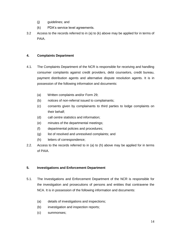- (j) guidelines; and
- (k) PDA's service level agreements.
- 3.2 Access to the records referred to in (a) to (k) above may be applied for in terms of PAIA.

# **4. Complaints Department**

- 4.1. The Complaints Department of the NCR is responsible for receiving and handling consumer complaints against credit providers, debt counselors, credit bureau, payment distribution agents and alternative dispute resolution agents. It is in possession of the following information and documents:
	- (a) Written complaints and/or Form 29;
	- (b) notices of non-referral issued to complainants;
	- (c) consents given by complainants to third parties to lodge complaints on their behalf;
	- (d) call centre statistics and information;
	- (e) minutes of the departmental meetings;
	- (f) departmental policies and procedures;
	- (g) list of resolved and unresolved complaints; and
	- (h) letters of correspondence;
- 2.2. Access to the records referred to in (a) to (h) above may be applied for in terms of PAIA.

# **5. Investigations and Enforcement Department**

- 5.1. The Investigations and Enforcement Department of the NCR is responsible for the investigation and prosecutions of persons and entities that contravene the NCA. It is in possession of the following information and documents:
	- (a) details of investigations and inspections;
	- (b) investigation and inspection reports;
	- (c) summonses;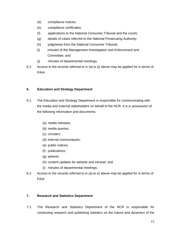- (d) compliance notices;
- (e) compliance certificates;
- (f) applications to the National Consumer Tribunal and the courts;
- (g) details of cases referred to the National Prosecuting Authority;
- (h) judgments from the National Consumer Tribunal;
- (i) minutes of the Management Investigation and Enforcement and Committee; and
- (j) minutes of departmental meetings.
- 5.2. Access to the records referred to in (a) to (j) above may be applied for in terms of PAIA.

# **6. Education and Strategy Department**

- 6.1. The Education and Strategy Department is responsible for communicating with the media and external stakeholders on behalf of the NCR. It is in possession of the following information and documents:
	- (a) media releases;
	- (b) media queries;
	- (c) circulars;
	- (d) internal communiqués;
	- (e) public notices;
	- (f) publications;
	- (g) adverts;
	- (h) content updates for website and intranet; and
	- (i) minutes of departmental meetings.
- 6.2. Access to the records referred to in (a) to (i) above may be applied for in terms of PAIA.

# **7. Research and Statistics Department**

7.1. The Research and Statistics Department of the NCR is responsible for conducting research and publishing statistics on the nature and dynamics of the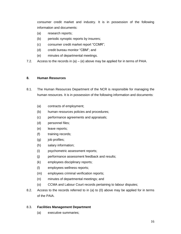consumer credit market and industry. It is in possession of the following information and documents:

- (a) research reports;
- (b) periodic synoptic reports by insurers;
- (c) consumer credit market report "CCMR";
- (d) credit bureau monitor "CBM"; and
- (e) minutes of departmental meetings.
- 7.2. Access to the records in  $(a) (e)$  above may be applied for in terms of PAIA.

#### **8. Human Resources**

- 8.1. The Human Resources Department of the NCR is responsible for managing the human resources. It is in possession of the following information and documents:
	- (a) contracts of employment;
	- (b) human resources policies and procedures;
	- (c) performance agreements and appraisals;
	- (d) personnel files;
	- (e) leave reports;
	- (f) training records;
	- (g) job profiles;
	- (h) salary information;
	- (i) psychometric assessment reports;
	- (j) performance assessment feedback and results;
	- (k) employees disciplinary reports;
	- (l) employees wellness reports;
	- (m) employees criminal verification reports;
	- (n) minutes of departmental meetings; and
	- (o) CCMA and Labour Court records pertaining to labour disputes;
- 8.2. Access to the records referred to in (a) to (0) above may be applied for in terms of the PAIA.

#### 8.3. **Facilities Management Department**

(a) executive summaries;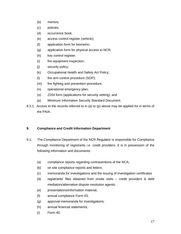- (b) memos;
- (c) policies,
- (d) occurrence book;
- (e) access control register (vehicle);
- (f) application form for biometric;
- (g) application form for physical access to NCR;
- (h) key control register;
- (i) fire equipment inspection;
- (j) security policy;
- (k) Occupational Health and Safety Act Policy;
- (l) fire arm control procedure (SOP);
- (m) fire fighting and prevention procedure;
- (n) operational emergency plan;
- (o) Z204 form (applications for security vetting); and
- (p) Minimum Information Security Standard Document.
- 8.3.1. Access to the records referred to in (a) to (p) above may be applied for in terms of the PAIA.

# **9. Compliance and Credit Information Department**

- 9.1. The Compliance Department of the NCR Regulator is responsible for Compliance through monitoring of registrants i.e. credit providers. It is in possession of the following information and documents:
	- (a) compliance reports regarding contraventions of the NCA;
	- (b) on site compliance reports and letters;
	- (c) memoranda for investigations and the issuing of investigation certificates
	- (d) registrants' files obtained from onsite visits credit providers & debt mediators/alternative dispute resolution agents;
	- (e) presentations/information material;
	- (f) annual compliance Form 43;
	- (g) approval memoranda for investigations;
	- (h) annual financial statements;
	- (i) Form 40;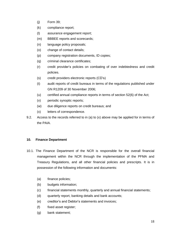- (j) Form 39;
- (k) compliance report;
- (l) assurance engagement report;
- (m) BBBEE reports and scorecards;
- (n) language policy proposals;
- (o) change of contact details;
- (p) company registration documents, ID copies;
- (q) criminal clearance certificates;
- (r) credit provider's policies on combating of over indebtedness and credit policies.
- (s) credit providers electronic reports (CD's)
- (t) audit reports of credit bureaus in terms of the regulations published under GN R1209 of 30 November 2006;
- (u) certified annual compliance reports in terms of section 52(6) of the Act;
- (v) periodic synoptic reports;
- (w) due diligence reports on credit bureaus; and
- (x) letters of correspondence.
- 9.2. Access to the records referred to in (a) to (x) above may be applied for in terms of the PAIA.

# **10. Finance Department**

- 10.1. The Finance Department of the NCR is responsible for the overall financial management within the NCR through the implementation of the PFMA and Treasury Regulations, and all other financial policies and prescripts. It is in possession of the following information and documents:
	- (a) finance policies;
	- (b) budgets information;
	- (c) financial statements monthly, quarterly and annual financial statements;
	- (d) quarterly report, banking details and bank accounts;
	- (e) creditor's and Debtor's statements and invoices;
	- (f) fixed asset register;
	- (g) bank statement;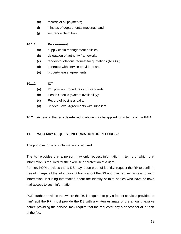- (h) records of all payments;
- (i) minutes of departmental meetings; and
- (j) insurance claim files.

## **10.1.1. Procurement**

- (a) supply chain management policies;
- (b) delegation of authority framework;
- (c) tenders/quotations/request for quotations (RFQ's);
- (d) contracts with service providers; and
- (e) property lease agreements.

# **10.1.2. ICT**

- (a) ICT policies procedures and standards
- (b) Health Checks (system availability);
- (c) Record of business calls;
- (d) Service Level Agreements with suppliers.
- 10.2 Access to the records referred to above may be applied for in terms of the PAIA.

# **11. WHO MAY REQUEST INFORMATION OR RECORDS?**

The purpose for which information is required:

The Act provides that a person may only request information in terms of which that information is required for the exercise or protection of a right.

Further, POPI provides that a DS may, upon proof of identity, request the RP to confirm, free of charge, all the information it holds about the DS and may request access to such information, including information about the identity of third parties who have or have had access to such information.

POPI further provides that where the DS is required to pay a fee for services provided to him/her/it the RP: must provide the DS with a written estimate of the amount payable before providing the service. may require that the requestor pay a deposit for all or part of the fee.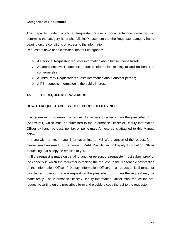# **Categories of Requestors**

The capacity under which a Requester requests documentation/information will determine the category he or she falls in. Please note that the Requester category has a bearing on the conditions of access to the information.

Requesters have been classified into four categories:

- A Personal Requester: requests information about himself/herself/itself;
- $\triangleright$  A Representative Requester: requests information relating to and on behalf of someone else;
- $\triangleright$  A Third Party Requester: requests information about another person;
- $\triangleright$  A PB: requests information in the public interest.

# **12. THE REQUESTS PROCEDURE**

# **HOW TO REQUEST ACCESS TO RECORDS HELD BY NCR**

I. A requester must make the request for access to a record on the prescribed form (Annexure1) which must be submitted to the Information Officer or Deputy Information Officer by hand, by post, per fax or per e-mail. Annexure1 is attached to this Manual below.

II. If you wish to type in your information into an MS Word version of the request form, please send an email to the relevant PAIA Practitioner or Deputy Information Officer requesting that a copy be emailed to you.

III. If the request is made on behalf of another person, the requester must submit proof of the capacity in which the requester is making the request, to the reasonable satisfaction of the Information Officer / Deputy Information Officer. If a requester is illiterate or disabled and cannot make a request on the prescribed form then the request may be made orally. The Information Officer / Deputy Information Officer must reduce the oral request to writing on the prescribed form and provide a copy thereof to the requester.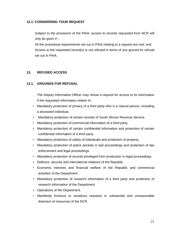# **12.1. CONSIDERING YOUR REQUEST**

Subject to the provisions of the PAIA, access to records requested from NCR will only be given if –

All the procedural requirements set out in PAIA relating to a request are met; and Access to the requested record(s) is not refused in terms of any ground for refusal set out in PAIA.

# **13. REFUSED ACCESS**

# **13.1. GROUNDS FOR REFUSAL**

The Deputy Information Officer may refuse a request for access to its information if the requested information relates to:

- Mandatory protection of privacy of a third party who is a natural person, including a deceased individual.
- Mandatory protection of certain records of South African Revenue Service.
- Mandatory protection of commercial information of a third party.
- Mandatory protection of certain confidential information and protection of certain confidential information of a third party.
- Mandatory protection of safety of individuals and protection of property.
- Mandatory protection of police dockets in bail proceedings and protection of law enforcement and legal proceedings.
- Mandatory protection of records privileged from production in legal proceedings.
- Defence, security and international relations of the Republic.
- Economic interests and financial welfare of the Republic and commercial activities of the Department.
- Mandatory protection of research information of a third party and protection of research information of the Department.
- Operations of the Department.
- Manifestly frivolous or vexatious requests or substantial and unreasonable diversion of resources of the NCR.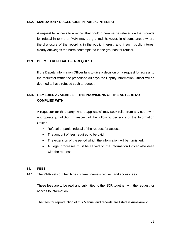### **13.2. MANDATORY DISCLOSURE IN PUBLIC INTEREST**

A request for access to a record that could otherwise be refused on the grounds for refusal in terms of PAIA may be granted, however, in circumstances where the disclosure of the record is in the public interest, and if such public interest clearly outweighs the harm contemplated in the grounds for refusal.

# **13.3. DEEMED REFUSAL OF A REQUEST**

If the Deputy Information Officer fails to give a decision on a request for access to the requester within the prescribed 30 days the Deputy Information Officer will be deemed to have refused such a request.

# **13.4. REMEDIES AVAILABLE IF THE PROVISIONS OF THE ACT ARE NOT COMPLIED WITH**

A requester (or third party, where applicable) may seek relief from any court with appropriate jurisdiction in respect of the following decisions of the Information Officer:

- Refusal or partial refusal of the request for access;
- The amount of fees required to be paid;
- The extension of the period which the information will be furnished.
- All legal processes must be served on the Information Officer who dealt with the request.

#### **14. FEES**

14.1 The PAIA sets out two types of fees, namely request and access fees.

These fees are to be paid and submitted to the NCR together with the request for access to information.

The fees for reproduction of this Manual and records are listed in Annexure 2.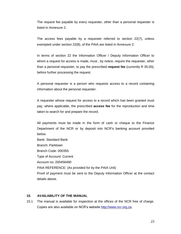The request fee payable by every requester, other than a personal requester is listed in Annexure 2.

The access fees payable by a requester referred to section 22(7), unless exempted under section 22(8), of the PAIA are listed in Annexure 2.

In terms of section 22 the Information Officer / Deputy Information Officer to whom a request for access is made, must , by notice, require the requester, other than a personal requester, to pay the prescribed **request fee** (currently R 35.00), before further processing the request.

A personal requester is a person who requests access to a record containing information about the personal requester.

A requester whose request for access to a record which has been granted must pay, where applicable, the prescribed **access fee** for the reproduction and time taken to search for and prepare the record.

All payments must be made in the form of cash or cheque to the Finance Department of the NCR or by deposit into NCR's banking account provided below.

Bank: Standard Bank Branch: Parktown Branch Code: 000355 Type of Account: Current Account no: 200456490 PAIA REFERENCE: (As provided for by the PAIA Unit) Proof of payment must be sent to the Deputy Information Officer at the contact details above.

#### **15. AVAILABILITY OF THE MANUAL**

15.1 The manual is available for inspection at the offices of the NCR free of charge. Copies are also available on NCR's website [http://www.ncr.org.za.](http://www.ncr.org.za/)